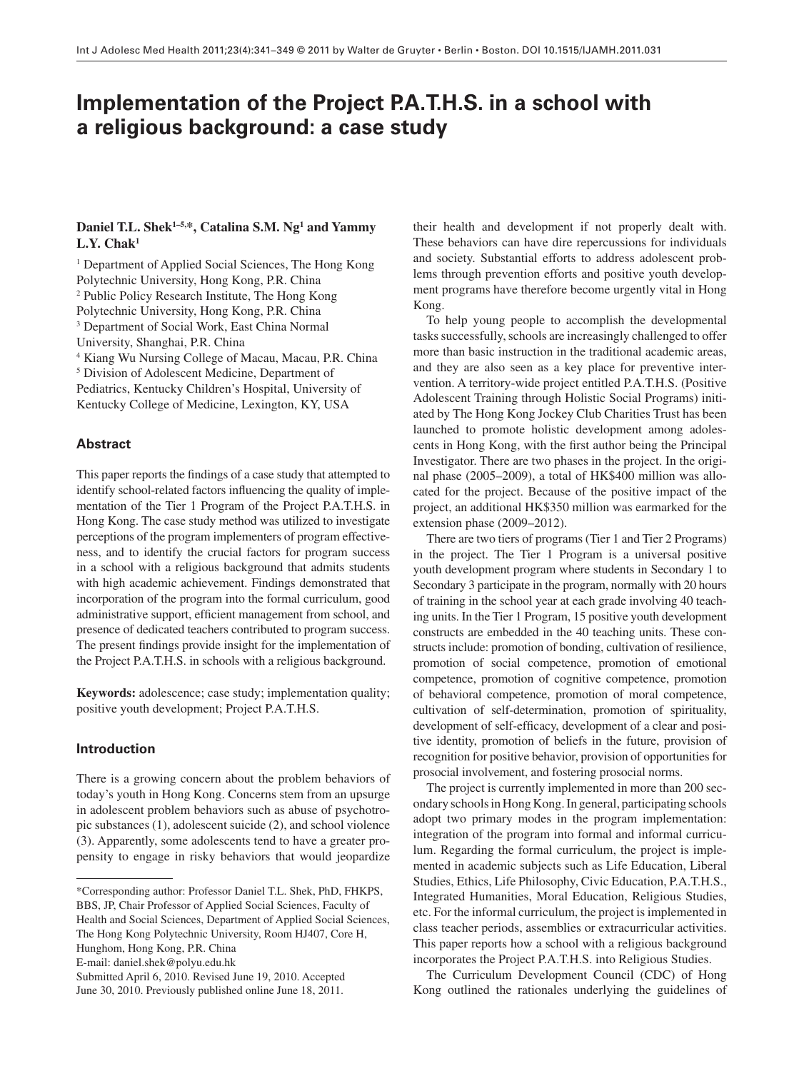# **Implementation of the Project P.A.T.H.S. in a school with a religious background: a case study**

# Daniel T.L. Shek<sup>1-5,\*</sup>, Catalina S.M. Ng<sup>1</sup> and Yammy  $L.Y. Chak<sup>1</sup>$

<sup>1</sup> Department of Applied Social Sciences, The Hong Kong Polytechnic University, Hong Kong, P.R. China <sup>2</sup> Public Policy Research Institute, The Hong Kong Polytechnic University, Hong Kong, P.R. China 3 Department of Social Work, East China Normal University, Shanghai, P.R. China <sup>4</sup> Kiang Wu Nursing College of Macau, Macau, P.R. China <sup>5</sup> Division of Adolescent Medicine, Department of Pediatrics, Kentucky Children's Hospital, University of Kentucky College of Medicine, Lexington, KY, USA

## **Abstract**

This paper reports the findings of a case study that attempted to identify school-related factors influencing the quality of implementation of the Tier 1 Program of the Project P.A.T.H.S. in Hong Kong. The case study method was utilized to investigate perceptions of the program implementers of program effectiveness, and to identify the crucial factors for program success in a school with a religious background that admits students with high academic achievement. Findings demonstrated that incorporation of the program into the formal curriculum, good administrative support, efficient management from school, and presence of dedicated teachers contributed to program success. The present findings provide insight for the implementation of the Project P.A.T.H.S. in schools with a religious background.

**Keywords:** adolescence; case study; implementation quality; positive youth development; Project P.A.T.H.S.

## **Introduction**

 There is a growing concern about the problem behaviors of today's youth in Hong Kong. Concerns stem from an upsurge in adolescent problem behaviors such as abuse of psychotropic substances (1) , adolescent suicide (2) , and school violence (3) . Apparently, some adolescents tend to have a greater propensity to engage in risky behaviors that would jeopardize

Submitted April 6, 2010. Revised June 19, 2010. Accepted

their health and development if not properly dealt with. These behaviors can have dire repercussions for individuals and society. Substantial efforts to address adolescent problems through prevention efforts and positive youth development programs have therefore become urgently vital in Hong Kong.

 To help young people to accomplish the developmental tasks successfully, schools are increasingly challenged to offer more than basic instruction in the traditional academic areas, and they are also seen as a key place for preventive intervention. A territory-wide project entitled P.A.T.H.S. (Positive Adolescent Training through Holistic Social Programs) initiated by The Hong Kong Jockey Club Charities Trust has been launched to promote holistic development among adolescents in Hong Kong, with the first author being the Principal Investigator. There are two phases in the project. In the original phase (2005-2009), a total of HK\$400 million was allocated for the project. Because of the positive impact of the project, an additional HK\$350 million was earmarked for the extension phase (2009–2012).

 There are two tiers of programs (Tier 1 and Tier 2 Programs) in the project. The Tier 1 Program is a universal positive youth development program where students in Secondary 1 to Secondary 3 participate in the program, normally with 20 hours of training in the school year at each grade involving 40 teaching units. In the Tier 1 Program, 15 positive youth development constructs are embedded in the 40 teaching units. These constructs include: promotion of bonding, cultivation of resilience, promotion of social competence, promotion of emotional competence, promotion of cognitive competence, promotion of behavioral competence, promotion of moral competence, cultivation of self-determination, promotion of spirituality, development of self-efficacy, development of a clear and positive identity, promotion of beliefs in the future, provision of recognition for positive behavior, provision of opportunities for prosocial involvement, and fostering prosocial norms.

 The project is currently implemented in more than 200 secondary schools in Hong Kong. In general, participating schools adopt two primary modes in the program implementation: integration of the program into formal and informal curriculum. Regarding the formal curriculum, the project is implemented in academic subjects such as Life Education, Liberal Studies, Ethics, Life Philosophy, Civic Education, P.A.T.H.S., Integrated Humanities, Moral Education, Religious Studies, etc. For the informal curriculum, the project is implemented in class teacher periods, assemblies or extracurricular activities. This paper reports how a school with a religious background incorporates the Project P.A.T.H.S. into Religious Studies.

 The Curriculum Development Council (CDC) of Hong Kong outlined the rationales underlying the guidelines of

 <sup>\*</sup>Corresponding author: Professor Daniel T.L. Shek, PhD, FHKPS, BBS, JP, Chair Professor of Applied Social Sciences, Faculty of Health and Social Sciences, Department of Applied Social Sciences, The Hong Kong Polytechnic University, Room HJ407, Core H,

Hunghom, Hong Kong, P.R. China

E-mail: daniel.shek@polyu.edu.hk

June 30, 2010. Previously published online June 18, 2011.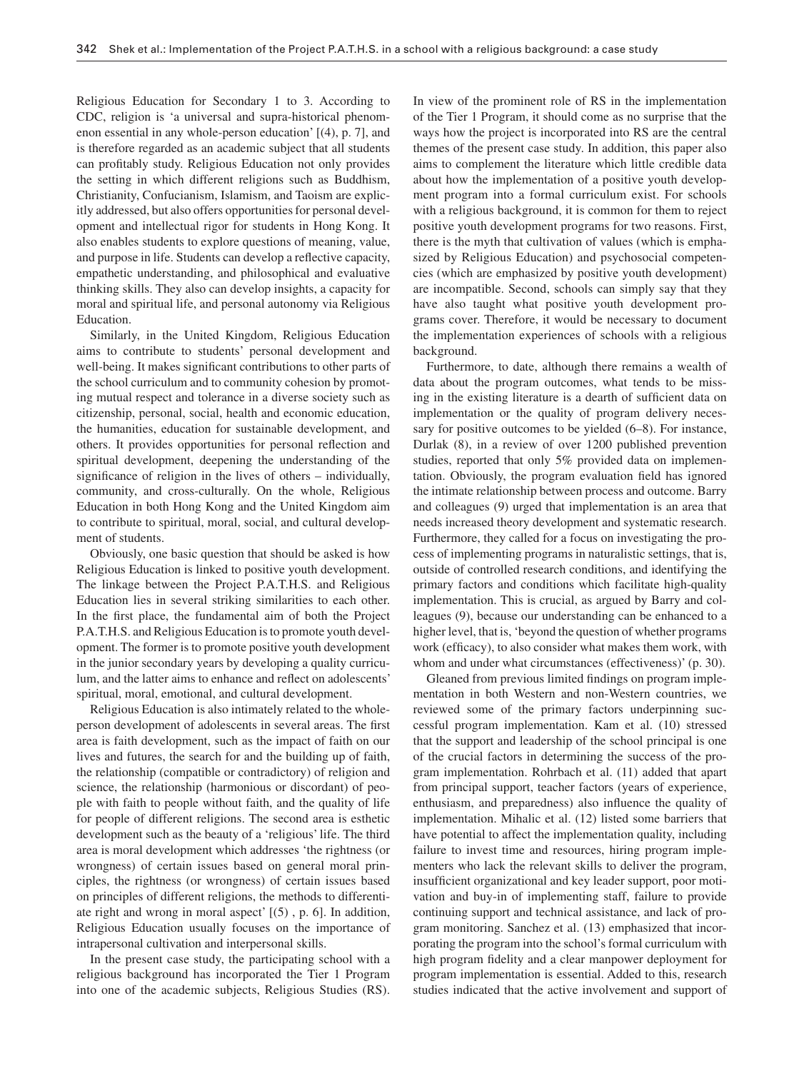Religious Education for Secondary 1 to 3. According to CDC, religion is 'a universal and supra-historical phenomenon essential in any whole-person education'  $[(4), p. 7]$ , and is therefore regarded as an academic subject that all students can profitably study. Religious Education not only provides the setting in which different religions such as Buddhism, Christianity, Confucianism, Islamism, and Taoism are explicitly addressed, but also offers opportunities for personal development and intellectual rigor for students in Hong Kong. It also enables students to explore questions of meaning, value, and purpose in life. Students can develop a reflective capacity, empathetic understanding, and philosophical and evaluative thinking skills. They also can develop insights, a capacity for moral and spiritual life, and personal autonomy via Religious Education.

 Similarly, in the United Kingdom, Religious Education aims to contribute to students' personal development and well-being. It makes significant contributions to other parts of the school curriculum and to community cohesion by promoting mutual respect and tolerance in a diverse society such as citizenship, personal, social, health and economic education, the humanities, education for sustainable development, and others. It provides opportunities for personal reflection and spiritual development, deepening the understanding of the significance of religion in the lives of others – individually, community, and cross-culturally. On the whole, Religious Education in both Hong Kong and the United Kingdom aim to contribute to spiritual, moral, social, and cultural development of students.

 Obviously, one basic question that should be asked is how Religious Education is linked to positive youth development. The linkage between the Project P.A.T.H.S. and Religious Education lies in several striking similarities to each other. In the first place, the fundamental aim of both the Project P.A.T.H.S. and Religious Education is to promote youth development. The former is to promote positive youth development in the junior secondary years by developing a quality curriculum, and the latter aims to enhance and reflect on adolescents' spiritual, moral, emotional, and cultural development.

 Religious Education is also intimately related to the wholeperson development of adolescents in several areas. The first area is faith development, such as the impact of faith on our lives and futures, the search for and the building up of faith, the relationship (compatible or contradictory) of religion and science, the relationship (harmonious or discordant) of people with faith to people without faith, and the quality of life for people of different religions. The second area is esthetic development such as the beauty of a 'religious' life. The third area is moral development which addresses 'the rightness (or wrongness) of certain issues based on general moral principles, the rightness (or wrongness) of certain issues based on principles of different religions, the methods to differentiate right and wrong in moral aspect' [(5) , p. 6]. In addition, Religious Education usually focuses on the importance of intrapersonal cultivation and interpersonal skills.

 In the present case study, the participating school with a religious background has incorporated the Tier 1 Program into one of the academic subjects, Religious Studies (RS). In view of the prominent role of RS in the implementation of the Tier 1 Program, it should come as no surprise that the ways how the project is incorporated into RS are the central themes of the present case study. In addition, this paper also aims to complement the literature which little credible data about how the implementation of a positive youth development program into a formal curriculum exist. For schools with a religious background, it is common for them to reject positive youth development programs for two reasons. First, there is the myth that cultivation of values (which is emphasized by Religious Education) and psychosocial competencies (which are emphasized by positive youth development) are incompatible. Second, schools can simply say that they have also taught what positive youth development programs cover. Therefore, it would be necessary to document the implementation experiences of schools with a religious background.

 Furthermore, to date, although there remains a wealth of data about the program outcomes, what tends to be missing in the existing literature is a dearth of sufficient data on implementation or the quality of program delivery necessary for positive outcomes to be yielded (6–8). For instance, Durlak (8), in a review of over 1200 published prevention studies, reported that only 5% provided data on implementation. Obviously, the program evaluation field has ignored the intimate relationship between process and outcome. Barry and colleagues (9) urged that implementation is an area that needs increased theory development and systematic research. Furthermore, they called for a focus on investigating the process of implementing programs in naturalistic settings, that is, outside of controlled research conditions, and identifying the primary factors and conditions which facilitate high-quality implementation. This is crucial, as argued by Barry and colleagues (9), because our understanding can be enhanced to a higher level, that is, 'beyond the question of whether programs work (efficacy), to also consider what makes them work, with whom and under what circumstances (effectiveness)' (p. 30).

Gleaned from previous limited findings on program implementation in both Western and non-Western countries, we reviewed some of the primary factors underpinning successful program implementation. Kam et al. (10) stressed that the support and leadership of the school principal is one of the crucial factors in determining the success of the program implementation. Rohrbach et al. (11) added that apart from principal support, teacher factors (years of experience, enthusiasm, and preparedness) also influence the quality of implementation. Mihalic et al. (12) listed some barriers that have potential to affect the implementation quality, including failure to invest time and resources, hiring program implementers who lack the relevant skills to deliver the program, insufficient organizational and key leader support, poor motivation and buy-in of implementing staff, failure to provide continuing support and technical assistance, and lack of program monitoring. Sanchez et al. (13) emphasized that incorporating the program into the school's formal curriculum with high program fidelity and a clear manpower deployment for program implementation is essential. Added to this, research studies indicated that the active involvement and support of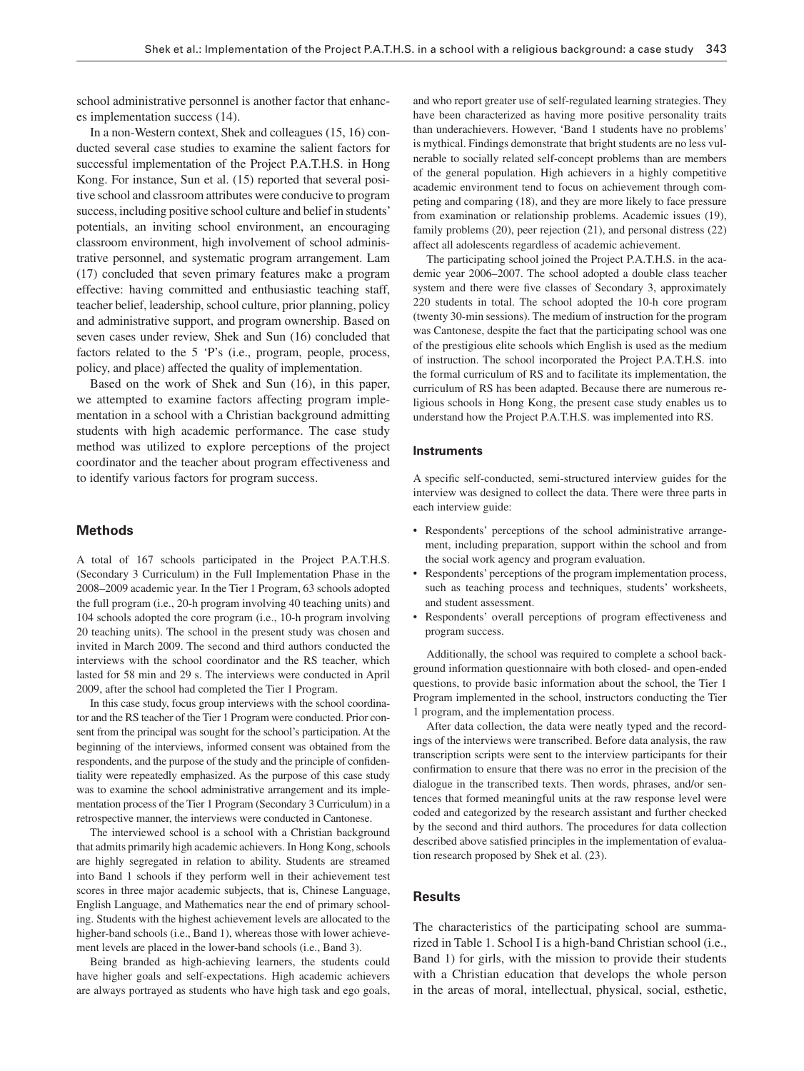school administrative personnel is another factor that enhances implementation success (14) .

 In a non-Western context, Shek and colleagues (15, 16) conducted several case studies to examine the salient factors for successful implementation of the Project P.A.T.H.S. in Hong Kong. For instance, Sun et al. (15) reported that several positive school and classroom attributes were conducive to program success, including positive school culture and belief in students ' potentials, an inviting school environment, an encouraging classroom environment, high involvement of school administrative personnel, and systematic program arrangement. Lam (17) concluded that seven primary features make a program effective: having committed and enthusiastic teaching staff, teacher belief, leadership, school culture, prior planning, policy and administrative support, and program ownership. Based on seven cases under review, Shek and Sun (16) concluded that factors related to the  $5$  'P's (i.e., program, people, process, policy, and place) affected the quality of implementation.

Based on the work of Shek and Sun (16), in this paper, we attempted to examine factors affecting program implementation in a school with a Christian background admitting students with high academic performance. The case study method was utilized to explore perceptions of the project coordinator and the teacher about program effectiveness and to identify various factors for program success.

# **Methods**

 A total of 167 schools participated in the Project P.A.T.H.S. (Secondary 3 Curriculum) in the Full Implementation Phase in the 2008 – 2009 academic year. In the Tier 1 Program, 63 schools adopted the full program (i.e., 20-h program involving 40 teaching units) and 104 schools adopted the core program (i.e., 10-h program involving 20 teaching units). The school in the present study was chosen and invited in March 2009. The second and third authors conducted the interviews with the school coordinator and the RS teacher, which lasted for 58 min and 29 s. The interviews were conducted in April 2009, after the school had completed the Tier 1 Program.

 In this case study, focus group interviews with the school coordinator and the RS teacher of the Tier 1 Program were conducted. Prior consent from the principal was sought for the school's participation. At the beginning of the interviews, informed consent was obtained from the respondents, and the purpose of the study and the principle of confidentiality were repeatedly emphasized. As the purpose of this case study was to examine the school administrative arrangement and its implementation process of the Tier 1 Program (Secondary 3 Curriculum) in a retrospective manner, the interviews were conducted in Cantonese.

 The interviewed school is a school with a Christian background that admits primarily high academic achievers. In Hong Kong, schools are highly segregated in relation to ability. Students are streamed into Band 1 schools if they perform well in their achievement test scores in three major academic subjects, that is, Chinese Language, English Language, and Mathematics near the end of primary schooling. Students with the highest achievement levels are allocated to the higher-band schools (i.e., Band 1), whereas those with lower achievement levels are placed in the lower-band schools (i.e., Band 3).

 Being branded as high-achieving learners, the students could have higher goals and self-expectations. High academic achievers are always portrayed as students who have high task and ego goals, and who report greater use of self-regulated learning strategies. They have been characterized as having more positive personality traits than underachievers. However, 'Band 1 students have no problems' is mythical. Findings demonstrate that bright students are no less vulnerable to socially related self-concept problems than are members of the general population. High achievers in a highly competitive academic environment tend to focus on achievement through competing and comparing (18) , and they are more likely to face pressure from examination or relationship problems. Academic issues (19), family problems  $(20)$ , peer rejection  $(21)$ , and personal distress  $(22)$ affect all adolescents regardless of academic achievement.

 The participating school joined the Project P.A.T.H.S. in the academic year 2006–2007. The school adopted a double class teacher system and there were five classes of Secondary 3, approximately 220 students in total. The school adopted the 10-h core program (twenty 30-min sessions). The medium of instruction for the program was Cantonese, despite the fact that the participating school was one of the prestigious elite schools which English is used as the medium of instruction. The school incorporated the Project P.A.T.H.S. into the formal curriculum of RS and to facilitate its implementation, the curriculum of RS has been adapted. Because there are numerous religious schools in Hong Kong, the present case study enables us to understand how the Project P.A.T.H.S. was implemented into RS.

#### **Instruments**

A specific self-conducted, semi-structured interview guides for the interview was designed to collect the data. There were three parts in each interview guide:

- Respondents' perceptions of the school administrative arrangement, including preparation, support within the school and from the social work agency and program evaluation.
- Respondents' perceptions of the program implementation process, such as teaching process and techniques, students' worksheets, and student assessment.
- Respondents' overall perceptions of program effectiveness and program success.

 Additionally, the school was required to complete a school background information questionnaire with both closed- and open-ended questions, to provide basic information about the school, the Tier 1 Program implemented in the school, instructors conducting the Tier 1 program, and the implementation process.

 After data collection, the data were neatly typed and the recordings of the interviews were transcribed. Before data analysis, the raw transcription scripts were sent to the interview participants for their confirmation to ensure that there was no error in the precision of the dialogue in the transcribed texts. Then words, phrases, and/or sentences that formed meaningful units at the raw response level were coded and categorized by the research assistant and further checked by the second and third authors. The procedures for data collection described above satisfied principles in the implementation of evaluation research proposed by Shek et al. (23) .

# **Results**

 The characteristics of the participating school are summarized in Table 1. School I is a high-band Christian school (i.e., Band 1) for girls, with the mission to provide their students with a Christian education that develops the whole person in the areas of moral, intellectual, physical, social, esthetic,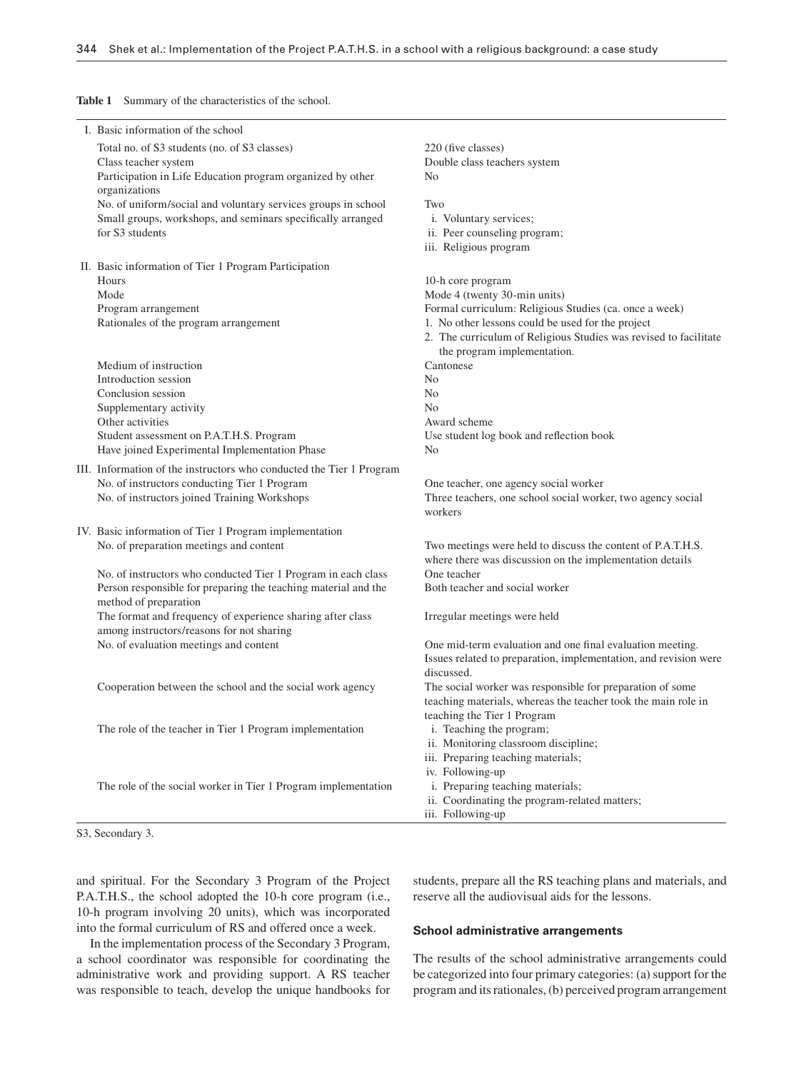Table 1 Summary of the characteristics of the school.

| I. Basic information of the school                                   |                                                                  |
|----------------------------------------------------------------------|------------------------------------------------------------------|
| Total no. of S3 students (no. of S3 classes)                         | 220 (five classes)                                               |
| Class teacher system                                                 | Double class teachers system                                     |
| Participation in Life Education program organized by other           | N <sub>0</sub>                                                   |
| organizations                                                        |                                                                  |
| No. of uniform/social and voluntary services groups in school        | Two                                                              |
| Small groups, workshops, and seminars specifically arranged          | i. Voluntary services;                                           |
| for S3 students                                                      | ii. Peer counseling program;                                     |
|                                                                      | iii. Religious program                                           |
|                                                                      |                                                                  |
| II. Basic information of Tier 1 Program Participation<br>Hours       |                                                                  |
|                                                                      | 10-h core program                                                |
| Mode                                                                 | Mode 4 (twenty 30-min units)                                     |
| Program arrangement                                                  | Formal curriculum: Religious Studies (ca. once a week)           |
| Rationales of the program arrangement                                | 1. No other lessons could be used for the project                |
|                                                                      | 2. The curriculum of Religious Studies was revised to facilitate |
|                                                                      | the program implementation.                                      |
| Medium of instruction                                                | Cantonese                                                        |
| Introduction session                                                 | N <sub>0</sub>                                                   |
| Conclusion session                                                   | N <sub>0</sub>                                                   |
| Supplementary activity                                               | N <sub>0</sub>                                                   |
| Other activities                                                     | Award scheme                                                     |
| Student assessment on P.A.T.H.S. Program                             | Use student log book and reflection book                         |
| Have joined Experimental Implementation Phase                        | N <sub>0</sub>                                                   |
| III. Information of the instructors who conducted the Tier 1 Program |                                                                  |
| No. of instructors conducting Tier 1 Program                         | One teacher, one agency social worker                            |
| No. of instructors joined Training Workshops                         | Three teachers, one school social worker, two agency social      |
|                                                                      | workers                                                          |
| IV. Basic information of Tier 1 Program implementation               |                                                                  |
| No. of preparation meetings and content                              | Two meetings were held to discuss the content of P.A.T.H.S.      |
|                                                                      | where there was discussion on the implementation details         |
| No. of instructors who conducted Tier 1 Program in each class        | One teacher                                                      |
| Person responsible for preparing the teaching material and the       | Both teacher and social worker                                   |
| method of preparation                                                |                                                                  |
| The format and frequency of experience sharing after class           | Irregular meetings were held                                     |
| among instructors/reasons for not sharing                            |                                                                  |
| No. of evaluation meetings and content                               | One mid-term evaluation and one final evaluation meeting.        |
|                                                                      | Issues related to preparation, implementation, and revision were |
|                                                                      | discussed.                                                       |
| Cooperation between the school and the social work agency            | The social worker was responsible for preparation of some        |
|                                                                      | teaching materials, whereas the teacher took the main role in    |
|                                                                      | teaching the Tier 1 Program                                      |
| The role of the teacher in Tier 1 Program implementation             | i. Teaching the program;                                         |
|                                                                      | ii. Monitoring classroom discipline;                             |
|                                                                      | iii. Preparing teaching materials;                               |
|                                                                      | iv. Following-up                                                 |
| The role of the social worker in Tier 1 Program implementation       | i. Preparing teaching materials;                                 |
|                                                                      | ii. Coordinating the program-related matters;                    |
|                                                                      | iii. Following-up                                                |

S3, Secondary 3.

and spiritual. For the Secondary 3 Program of the Project P.A.T.H.S., the school adopted the 10-h core program (i.e., 10-h program involving 20 units), which was incorporated into the formal curriculum of RS and offered once a week.

students, prepare all the RS teaching plans and materials, and reserve all the audiovisual aids for the lessons.

#### **School administrative arrangements**

 In the implementation process of the Secondary 3 Program, a school coordinator was responsible for coordinating the administrative work and providing support. A RS teacher was responsible to teach, develop the unique handbooks for

 The results of the school administrative arrangements could be categorized into four primary categories: (a) support for the program and its rationales, (b) perceived program arrangement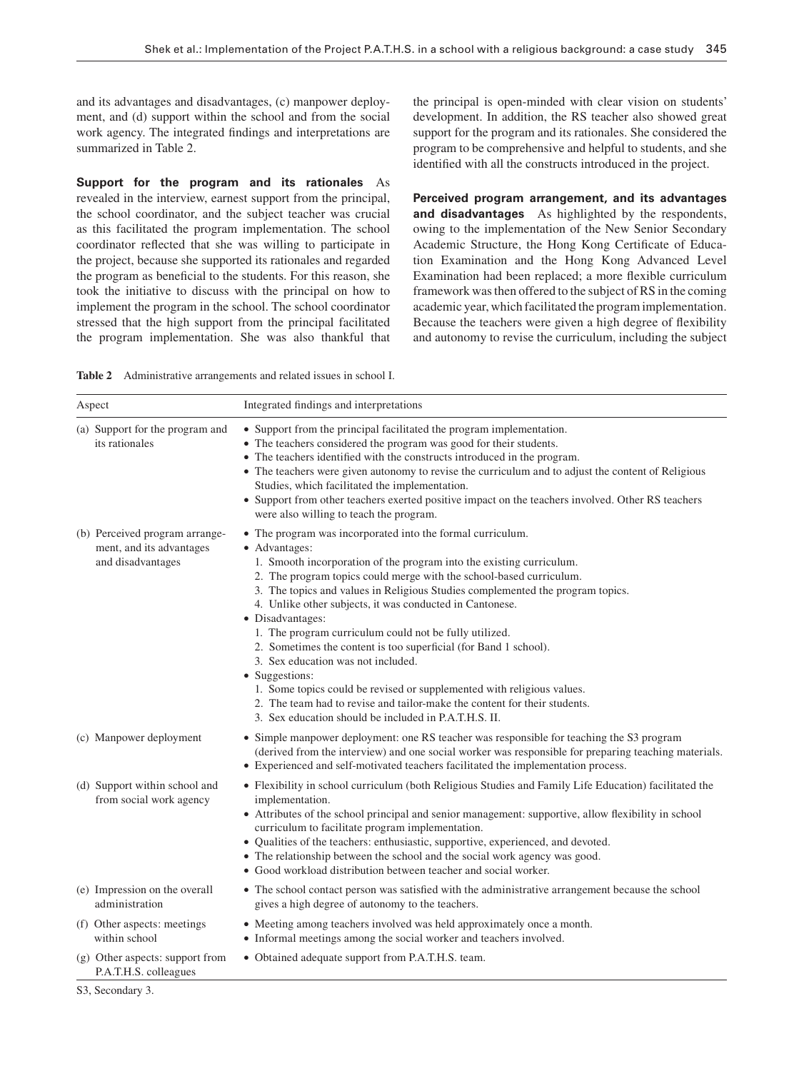and its advantages and disadvantages, (c) manpower deployment, and (d) support within the school and from the social work agency. The integrated findings and interpretations are summarized in Table 2.

**Support for the program and its rationales** As revealed in the interview, earnest support from the principal, the school coordinator, and the subject teacher was crucial as this facilitated the program implementation. The school coordinator reflected that she was willing to participate in the project, because she supported its rationales and regarded the program as beneficial to the students. For this reason, she took the initiative to discuss with the principal on how to implement the program in the school. The school coordinator stressed that the high support from the principal facilitated the program implementation. She was also thankful that

the principal is open-minded with clear vision on students ' development. In addition, the RS teacher also showed great support for the program and its rationales. She considered the program to be comprehensive and helpful to students, and she identified with all the constructs introduced in the project.

**Perceived program arrangement, and its advantages and disadvantages** As highlighted by the respondents, owing to the implementation of the New Senior Secondary Academic Structure, the Hong Kong Certificate of Education Examination and the Hong Kong Advanced Level Examination had been replaced; a more flexible curriculum framework was then offered to the subject of RS in the coming academic year, which facilitated the program implementation. Because the teachers were given a high degree of flexibility and autonomy to revise the curriculum, including the subject

|  | <b>Table 2</b> Administrative arrangements and related issues in school I. |  |  |  |  |
|--|----------------------------------------------------------------------------|--|--|--|--|
|--|----------------------------------------------------------------------------|--|--|--|--|

| Aspect |                                                                                 | Integrated findings and interpretations                                                                                                                                                                                                                                                                                                                                                                                                                                                                                                                                                                                                                                                                                                                                                            |  |  |
|--------|---------------------------------------------------------------------------------|----------------------------------------------------------------------------------------------------------------------------------------------------------------------------------------------------------------------------------------------------------------------------------------------------------------------------------------------------------------------------------------------------------------------------------------------------------------------------------------------------------------------------------------------------------------------------------------------------------------------------------------------------------------------------------------------------------------------------------------------------------------------------------------------------|--|--|
|        | (a) Support for the program and<br>its rationales                               | • Support from the principal facilitated the program implementation.<br>• The teachers considered the program was good for their students.<br>• The teachers identified with the constructs introduced in the program.<br>• The teachers were given autonomy to revise the curriculum and to adjust the content of Religious<br>Studies, which facilitated the implementation.<br>• Support from other teachers exerted positive impact on the teachers involved. Other RS teachers<br>were also willing to teach the program.                                                                                                                                                                                                                                                                     |  |  |
|        | (b) Perceived program arrange-<br>ment, and its advantages<br>and disadvantages | • The program was incorporated into the formal curriculum.<br>• Advantages:<br>1. Smooth incorporation of the program into the existing curriculum.<br>2. The program topics could merge with the school-based curriculum.<br>3. The topics and values in Religious Studies complemented the program topics.<br>4. Unlike other subjects, it was conducted in Cantonese.<br>• Disadvantages:<br>1. The program curriculum could not be fully utilized.<br>2. Sometimes the content is too superficial (for Band 1 school).<br>3. Sex education was not included.<br>• Suggestions:<br>1. Some topics could be revised or supplemented with religious values.<br>2. The team had to revise and tailor-make the content for their students.<br>3. Sex education should be included in P.A.T.H.S. II. |  |  |
|        | (c) Manpower deployment                                                         | • Simple manpower deployment: one RS teacher was responsible for teaching the S3 program<br>(derived from the interview) and one social worker was responsible for preparing teaching materials.<br>• Experienced and self-motivated teachers facilitated the implementation process.                                                                                                                                                                                                                                                                                                                                                                                                                                                                                                              |  |  |
|        | (d) Support within school and<br>from social work agency                        | • Flexibility in school curriculum (both Religious Studies and Family Life Education) facilitated the<br>implementation.<br>• Attributes of the school principal and senior management: supportive, allow flexibility in school<br>curriculum to facilitate program implementation.<br>• Qualities of the teachers: enthusiastic, supportive, experienced, and devoted.<br>• The relationship between the school and the social work agency was good.<br>• Good workload distribution between teacher and social worker.                                                                                                                                                                                                                                                                           |  |  |
|        | (e) Impression on the overall<br>administration                                 | • The school contact person was satisfied with the administrative arrangement because the school<br>gives a high degree of autonomy to the teachers.                                                                                                                                                                                                                                                                                                                                                                                                                                                                                                                                                                                                                                               |  |  |
|        | (f) Other aspects: meetings<br>within school                                    | • Meeting among teachers involved was held approximately once a month.<br>• Informal meetings among the social worker and teachers involved.                                                                                                                                                                                                                                                                                                                                                                                                                                                                                                                                                                                                                                                       |  |  |
|        | (g) Other aspects: support from<br>P.A.T.H.S. colleagues                        | • Obtained adequate support from P.A.T.H.S. team.                                                                                                                                                                                                                                                                                                                                                                                                                                                                                                                                                                                                                                                                                                                                                  |  |  |

S3, Secondary 3.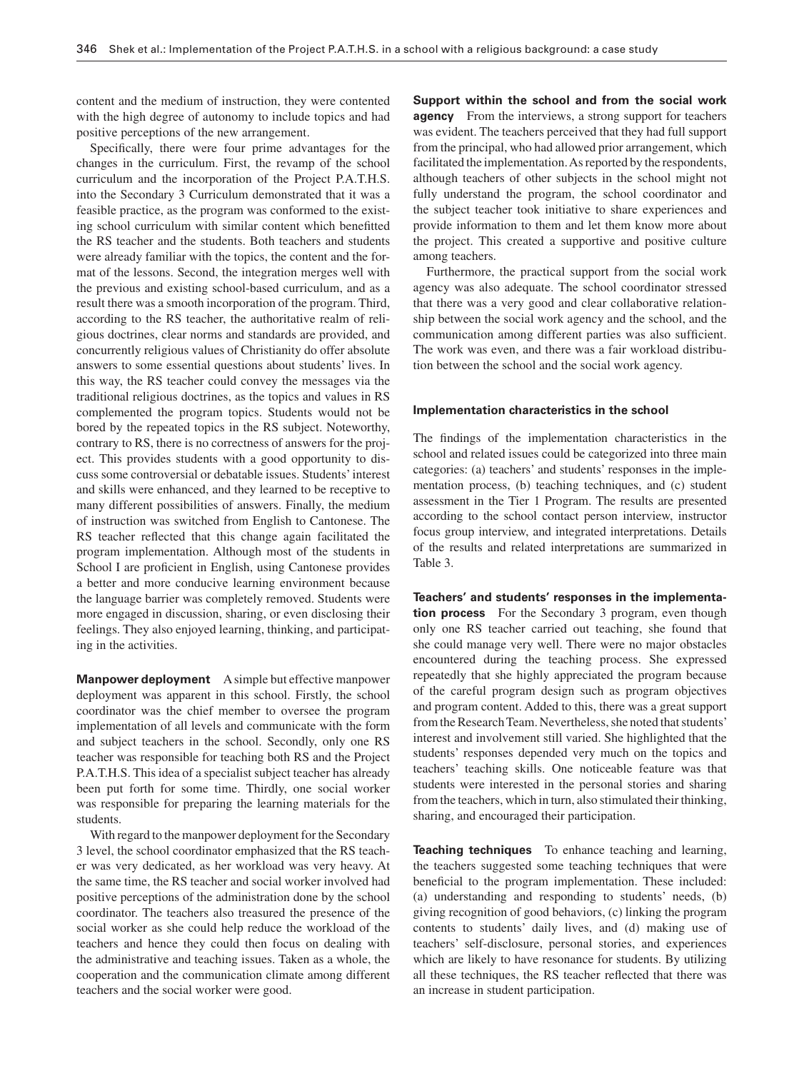content and the medium of instruction, they were contented with the high degree of autonomy to include topics and had positive perceptions of the new arrangement.

Specifically, there were four prime advantages for the changes in the curriculum. First, the revamp of the school curriculum and the incorporation of the Project P.A.T.H.S. into the Secondary 3 Curriculum demonstrated that it was a feasible practice, as the program was conformed to the existing school curriculum with similar content which benefitted the RS teacher and the students. Both teachers and students were already familiar with the topics, the content and the format of the lessons. Second, the integration merges well with the previous and existing school-based curriculum, and as a result there was a smooth incorporation of the program. Third, according to the RS teacher, the authoritative realm of religious doctrines, clear norms and standards are provided, and concurrently religious values of Christianity do offer absolute answers to some essential questions about students' lives. In this way, the RS teacher could convey the messages via the traditional religious doctrines, as the topics and values in RS complemented the program topics. Students would not be bored by the repeated topics in the RS subject. Noteworthy, contrary to RS, there is no correctness of answers for the project. This provides students with a good opportunity to discuss some controversial or debatable issues. Students ' interest and skills were enhanced, and they learned to be receptive to many different possibilities of answers. Finally, the medium of instruction was switched from English to Cantonese. The RS teacher reflected that this change again facilitated the program implementation. Although most of the students in School I are proficient in English, using Cantonese provides a better and more conducive learning environment because the language barrier was completely removed. Students were more engaged in discussion, sharing, or even disclosing their feelings. They also enjoyed learning, thinking, and participating in the activities.

**Manpower deployment** A simple but effective manpower deployment was apparent in this school. Firstly, the school coordinator was the chief member to oversee the program implementation of all levels and communicate with the form and subject teachers in the school. Secondly, only one RS teacher was responsible for teaching both RS and the Project P.A.T.H.S. This idea of a specialist subject teacher has already been put forth for some time. Thirdly, one social worker was responsible for preparing the learning materials for the students.

 With regard to the manpower deployment for the Secondary 3 level, the school coordinator emphasized that the RS teacher was very dedicated, as her workload was very heavy. At the same time, the RS teacher and social worker involved had positive perceptions of the administration done by the school coordinator. The teachers also treasured the presence of the social worker as she could help reduce the workload of the teachers and hence they could then focus on dealing with the administrative and teaching issues. Taken as a whole, the cooperation and the communication climate among different teachers and the social worker were good.

**Support within the school and from the social work agency** From the interviews, a strong support for teachers was evident. The teachers perceived that they had full support from the principal, who had allowed prior arrangement, which facilitated the implementation. As reported by the respondents, although teachers of other subjects in the school might not fully understand the program, the school coordinator and the subject teacher took initiative to share experiences and provide information to them and let them know more about the project. This created a supportive and positive culture among teachers.

 Furthermore, the practical support from the social work agency was also adequate. The school coordinator stressed that there was a very good and clear collaborative relationship between the social work agency and the school, and the communication among different parties was also sufficient. The work was even, and there was a fair workload distribution between the school and the social work agency.

#### **Implementation characteristics in the school**

The findings of the implementation characteristics in the school and related issues could be categorized into three main categories: (a) teachers' and students' responses in the implementation process, (b) teaching techniques, and (c) student assessment in the Tier 1 Program. The results are presented according to the school contact person interview, instructor focus group interview, and integrated interpretations. Details of the results and related interpretations are summarized in Table 3.

Teachers' and students' responses in the implementa**tion process** For the Secondary 3 program, even though only one RS teacher carried out teaching, she found that she could manage very well. There were no major obstacles encountered during the teaching process. She expressed repeatedly that she highly appreciated the program because of the careful program design such as program objectives and program content. Added to this, there was a great support from the Research Team. Nevertheless, she noted that students ' interest and involvement still varied. She highlighted that the students' responses depended very much on the topics and teachers' teaching skills. One noticeable feature was that students were interested in the personal stories and sharing from the teachers, which in turn, also stimulated their thinking, sharing, and encouraged their participation.

**Teaching techniques** To enhance teaching and learning, the teachers suggested some teaching techniques that were beneficial to the program implementation. These included: (a) understanding and responding to students' needs,  $(b)$ giving recognition of good behaviors, (c) linking the program contents to students' daily lives, and (d) making use of teachers' self-disclosure, personal stories, and experiences which are likely to have resonance for students. By utilizing all these techniques, the RS teacher reflected that there was an increase in student participation.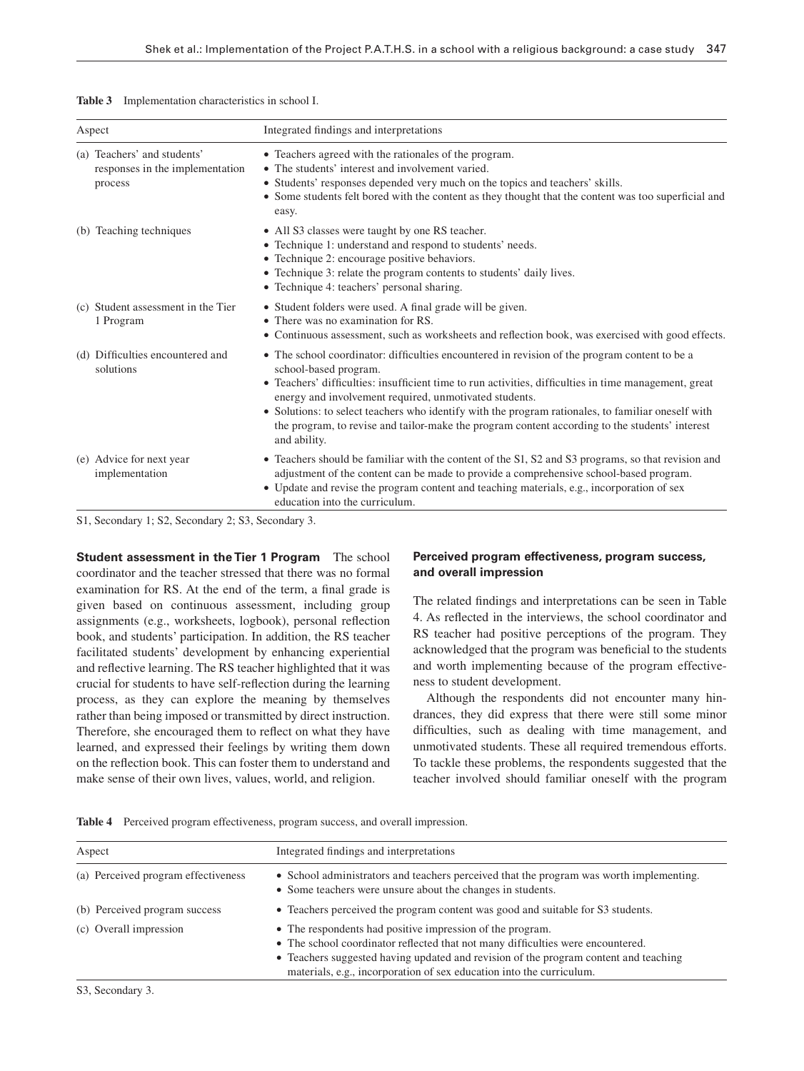| Table 3 | Implementation characteristics in school I. |  |  |
|---------|---------------------------------------------|--|--|
|---------|---------------------------------------------|--|--|

| Aspect |                                                                           | Integrated findings and interpretations                                                                                                                                                                                                                                                                                                                                                                                                                                                                           |  |
|--------|---------------------------------------------------------------------------|-------------------------------------------------------------------------------------------------------------------------------------------------------------------------------------------------------------------------------------------------------------------------------------------------------------------------------------------------------------------------------------------------------------------------------------------------------------------------------------------------------------------|--|
|        | (a) Teachers' and students'<br>responses in the implementation<br>process | • Teachers agreed with the rationales of the program.<br>• The students' interest and involvement varied.<br>• Students' responses depended very much on the topics and teachers' skills.<br>• Some students felt bored with the content as they thought that the content was too superficial and<br>easy.                                                                                                                                                                                                        |  |
|        | (b) Teaching techniques                                                   | • All S3 classes were taught by one RS teacher.<br>• Technique 1: understand and respond to students' needs.<br>• Technique 2: encourage positive behaviors.<br>• Technique 3: relate the program contents to students' daily lives.<br>• Technique 4: teachers' personal sharing.                                                                                                                                                                                                                                |  |
|        | (c) Student assessment in the Tier<br>1 Program                           | • Student folders were used. A final grade will be given.<br>• There was no examination for RS.<br>• Continuous assessment, such as worksheets and reflection book, was exercised with good effects.                                                                                                                                                                                                                                                                                                              |  |
|        | (d) Difficulties encountered and<br>solutions                             | • The school coordinator: difficulties encountered in revision of the program content to be a<br>school-based program.<br>• Teachers' difficulties: insufficient time to run activities, difficulties in time management, great<br>energy and involvement required, unmotivated students.<br>• Solutions: to select teachers who identify with the program rationales, to familiar oneself with<br>the program, to revise and tailor-make the program content according to the students' interest<br>and ability. |  |
|        | (e) Advice for next year<br>implementation                                | • Teachers should be familiar with the content of the S1, S2 and S3 programs, so that revision and<br>adjustment of the content can be made to provide a comprehensive school-based program.<br>• Update and revise the program content and teaching materials, e.g., incorporation of sex<br>education into the curriculum.                                                                                                                                                                                      |  |

S1, Secondary 1; S2, Secondary 2; S3, Secondary 3.

**Student assessment in the Tier 1 Program** The school coordinator and the teacher stressed that there was no formal examination for RS. At the end of the term, a final grade is given based on continuous assessment, including group assignments (e.g., worksheets, logbook), personal reflection book, and students' participation. In addition, the RS teacher facilitated students' development by enhancing experiential and reflective learning. The RS teacher highlighted that it was crucial for students to have self-reflection during the learning process, as they can explore the meaning by themselves rather than being imposed or transmitted by direct instruction. Therefore, she encouraged them to reflect on what they have learned, and expressed their feelings by writing them down on the reflection book. This can foster them to understand and make sense of their own lives, values, world, and religion.

## **Perceived program effectiveness, program success, and overall impression**

The related findings and interpretations can be seen in Table 4. As reflected in the interviews, the school coordinator and RS teacher had positive perceptions of the program. They acknowledged that the program was beneficial to the students and worth implementing because of the program effectiveness to student development.

 Although the respondents did not encounter many hindrances, they did express that there were still some minor difficulties, such as dealing with time management, and unmotivated students. These all required tremendous efforts. To tackle these problems, the respondents suggested that the teacher involved should familiar oneself with the program

| Aspect                              | Integrated findings and interpretations                                                                                                                                                                                                                                                                      |  |
|-------------------------------------|--------------------------------------------------------------------------------------------------------------------------------------------------------------------------------------------------------------------------------------------------------------------------------------------------------------|--|
| (a) Perceived program effectiveness | • School administrators and teachers perceived that the program was worth implementing.<br>• Some teachers were unsure about the changes in students.                                                                                                                                                        |  |
| (b) Perceived program success       | • Teachers perceived the program content was good and suitable for S3 students.                                                                                                                                                                                                                              |  |
| (c) Overall impression              | • The respondents had positive impression of the program.<br>• The school coordinator reflected that not many difficulties were encountered.<br>• Teachers suggested having updated and revision of the program content and teaching<br>materials, e.g., incorporation of sex education into the curriculum. |  |

**Table 4** Perceived program effectiveness, program success, and overall impression.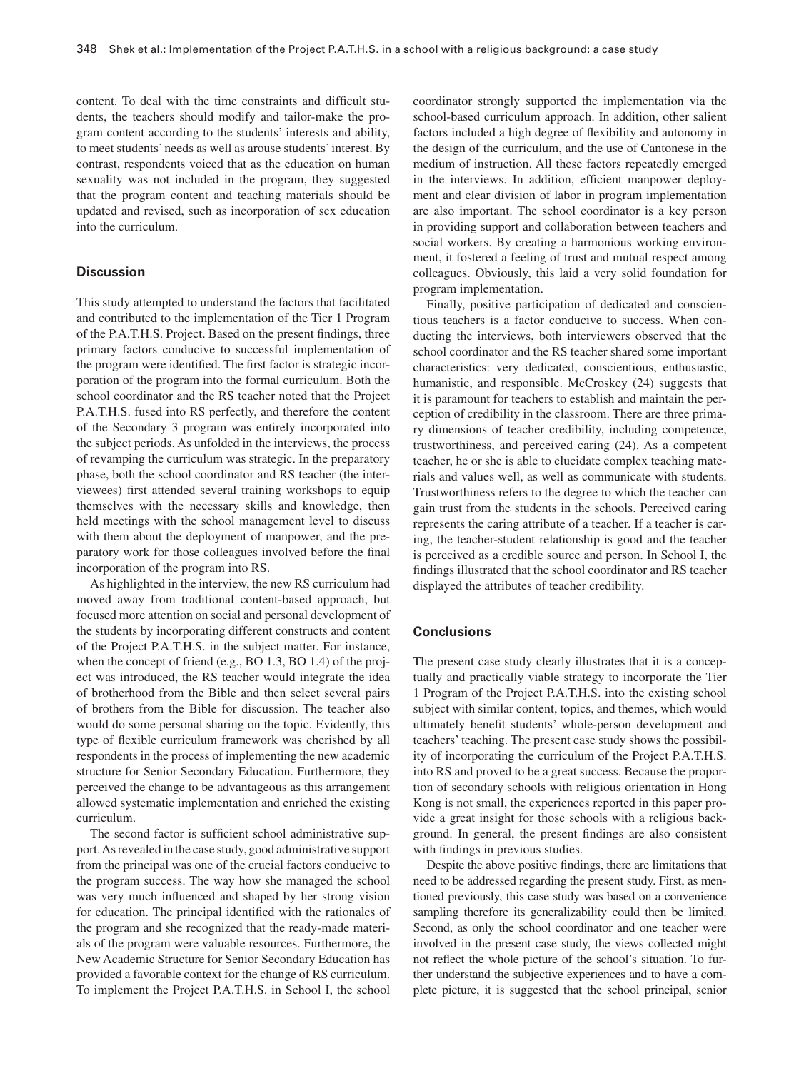content. To deal with the time constraints and difficult students, the teachers should modify and tailor-make the program content according to the students' interests and ability, to meet students' needs as well as arouse students' interest. By contrast, respondents voiced that as the education on human sexuality was not included in the program, they suggested that the program content and teaching materials should be updated and revised, such as incorporation of sex education into the curriculum.

# **Discussion**

 This study attempted to understand the factors that facilitated and contributed to the implementation of the Tier 1 Program of the P.A.T.H.S. Project. Based on the present findings, three primary factors conducive to successful implementation of the program were identified. The first factor is strategic incorporation of the program into the formal curriculum. Both the school coordinator and the RS teacher noted that the Project P.A.T.H.S. fused into RS perfectly, and therefore the content of the Secondary 3 program was entirely incorporated into the subject periods. As unfolded in the interviews, the process of revamping the curriculum was strategic. In the preparatory phase, both the school coordinator and RS teacher (the interviewees) first attended several training workshops to equip themselves with the necessary skills and knowledge, then held meetings with the school management level to discuss with them about the deployment of manpower, and the preparatory work for those colleagues involved before the final incorporation of the program into RS.

 As highlighted in the interview, the new RS curriculum had moved away from traditional content-based approach, but focused more attention on social and personal development of the students by incorporating different constructs and content of the Project P.A.T.H.S. in the subject matter. For instance, when the concept of friend (e.g., BO 1.3, BO 1.4) of the project was introduced, the RS teacher would integrate the idea of brotherhood from the Bible and then select several pairs of brothers from the Bible for discussion. The teacher also would do some personal sharing on the topic. Evidently, this type of flexible curriculum framework was cherished by all respondents in the process of implementing the new academic structure for Senior Secondary Education. Furthermore, they perceived the change to be advantageous as this arrangement allowed systematic implementation and enriched the existing curriculum.

The second factor is sufficient school administrative support. As revealed in the case study, good administrative support from the principal was one of the crucial factors conducive to the program success. The way how she managed the school was very much influenced and shaped by her strong vision for education. The principal identified with the rationales of the program and she recognized that the ready-made materials of the program were valuable resources. Furthermore, the New Academic Structure for Senior Secondary Education has provided a favorable context for the change of RS curriculum. To implement the Project P.A.T.H.S. in School I, the school coordinator strongly supported the implementation via the school-based curriculum approach. In addition, other salient factors included a high degree of flexibility and autonomy in the design of the curriculum, and the use of Cantonese in the medium of instruction. All these factors repeatedly emerged in the interviews. In addition, efficient manpower deployment and clear division of labor in program implementation are also important. The school coordinator is a key person in providing support and collaboration between teachers and social workers. By creating a harmonious working environment, it fostered a feeling of trust and mutual respect among colleagues. Obviously, this laid a very solid foundation for program implementation.

 Finally, positive participation of dedicated and conscientious teachers is a factor conducive to success. When conducting the interviews, both interviewers observed that the school coordinator and the RS teacher shared some important characteristics: very dedicated, conscientious, enthusiastic, humanistic, and responsible. McCroskey (24) suggests that it is paramount for teachers to establish and maintain the perception of credibility in the classroom. There are three primary dimensions of teacher credibility, including competence, trustworthiness, and perceived caring (24) . As a competent teacher, he or she is able to elucidate complex teaching materials and values well, as well as communicate with students. Trustworthiness refers to the degree to which the teacher can gain trust from the students in the schools. Perceived caring represents the caring attribute of a teacher. If a teacher is caring, the teacher-student relationship is good and the teacher is perceived as a credible source and person. In School I, the findings illustrated that the school coordinator and RS teacher displayed the attributes of teacher credibility.

## **Conclusions**

 The present case study clearly illustrates that it is a conceptually and practically viable strategy to incorporate the Tier 1 Program of the Project P.A.T.H.S. into the existing school subject with similar content, topics, and themes, which would ultimately benefit students' whole-person development and teachers' teaching. The present case study shows the possibility of incorporating the curriculum of the Project P.A.T.H.S. into RS and proved to be a great success. Because the proportion of secondary schools with religious orientation in Hong Kong is not small, the experiences reported in this paper provide a great insight for those schools with a religious background. In general, the present findings are also consistent with findings in previous studies.

Despite the above positive findings, there are limitations that need to be addressed regarding the present study. First, as mentioned previously, this case study was based on a convenience sampling therefore its generalizability could then be limited. Second, as only the school coordinator and one teacher were involved in the present case study, the views collected might not reflect the whole picture of the school's situation. To further understand the subjective experiences and to have a complete picture, it is suggested that the school principal, senior